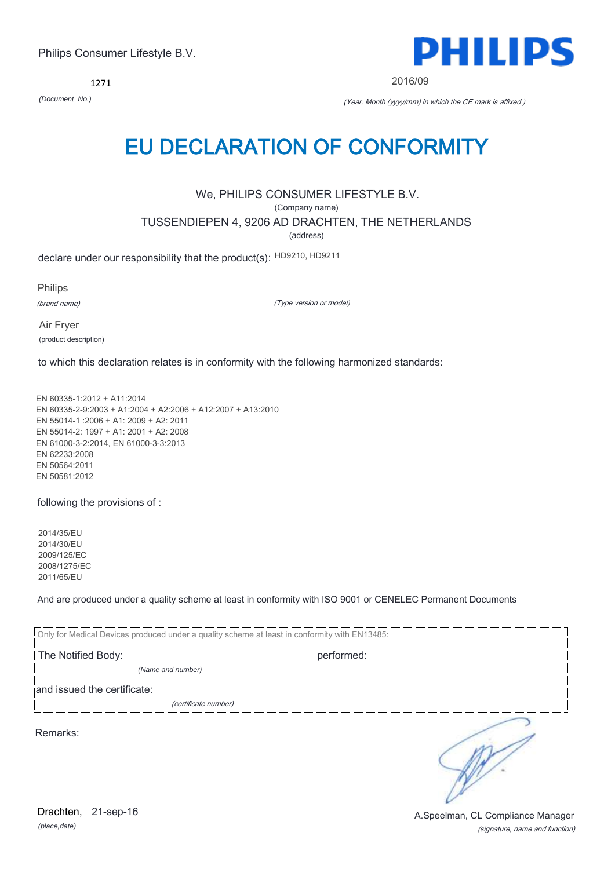1271



2016/09

*(Document No.)* (Year, Month (yyyy/mm) in which the CE mark is affixed )

# EU DECLARATION OF CONFORMITY

We, PHILIPS CONSUMER LIFESTYLE B.V.

(Company name)

TUSSENDIEPEN 4, 9206 AD DRACHTEN, THE NETHERLANDS

(address)

declare under our responsibility that the product(s): HD9210, HD9211

Philips

(brand name)

(Type version or model)

Air Fryer (product description)

to which this declaration relates is in conformity with the following harmonized standards:

EN 60335-1:2012 + A11:2014 EN 60335-2-9:2003 + A1:2004 + A2:2006 + A12:2007 + A13:2010 EN 55014-1 :2006 + A1: 2009 + A2: 2011 EN 55014-2: 1997 + A1: 2001 + A2: 2008 EN 61000-3-2:2014, EN 61000-3-3:2013 EN 62233:2008 EN 50564:2011 EN 50581:2012

following the provisions of :

2014/35/EU 2014/30/EU 2009/125/EC 2008/1275/EC 2011/65/EU

And are produced under a quality scheme at least in conformity with ISO 9001 or CENELEC Permanent Documents

| Only for Medical Devices produced under a quality scheme at least in conformity with EN13485: |            |  |
|-----------------------------------------------------------------------------------------------|------------|--|
| The Notified Body:                                                                            | performed: |  |
| (Name and number)                                                                             |            |  |
| and issued the certificate:                                                                   |            |  |
| (certificate number)                                                                          |            |  |
| Remarks:                                                                                      |            |  |

*(place,date)* Drachten, 21-sep-16

(signature, name and function) A.Speelman, CL Compliance Manager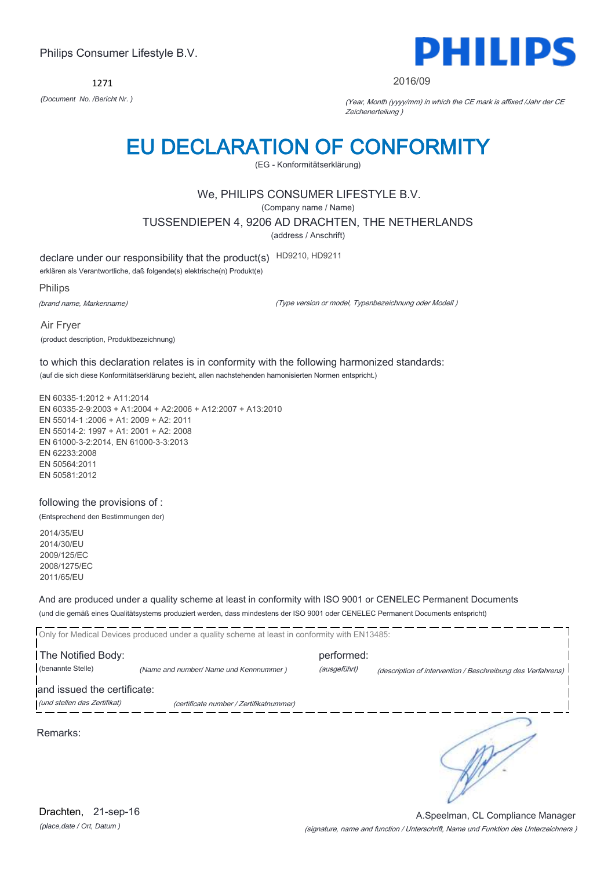1271



#### 2016/09

*(Document No. /Bericht Nr. )* (Year, Month (yyyy/mm) in which the CE mark is affixed /Jahr der CE Zeichenerteilung )

# EU DECLARATION OF CONFORMITY

(EG - Konformitätserklärung)

### We, PHILIPS CONSUMER LIFESTYLE B.V.

(Company name / Name)

TUSSENDIEPEN 4, 9206 AD DRACHTEN, THE NETHERLANDS

(address / Anschrift)

declare under our responsibility that the product(s) HD9210, HD9211

erklären als Verantwortliche, daß folgende(s) elektrische(n) Produkt(e)

Philips

(brand name, Markenname)

(Type version or model, Typenbezeichnung oder Modell )

Air Fryer (product description, Produktbezeichnung)

to which this declaration relates is in conformity with the following harmonized standards: (auf die sich diese Konformitätserklärung bezieht, allen nachstehenden hamonisierten Normen entspricht.)

EN 60335-1:2012 + A11:2014 EN 60335-2-9:2003 + A1:2004 + A2:2006 + A12:2007 + A13:2010 EN 55014-1 :2006 + A1: 2009 + A2: 2011 EN 55014-2: 1997 + A1: 2001 + A2: 2008 EN 61000-3-2:2014, EN 61000-3-3:2013 EN 62233:2008 EN 50564:2011 EN 50581:2012

following the provisions of : (Entsprechend den Bestimmungen der)

2014/35/EU 2014/30/EU 2009/125/EC 2008/1275/EC 2011/65/EU

And are produced under a quality scheme at least in conformity with ISO 9001 or CENELEC Permanent Documents (und die gemäß eines Qualitätsystems produziert werden, dass mindestens der ISO 9001 oder CENELEC Permanent Documents entspricht)

|                              | Only for Medical Devices produced under a quality scheme at least in conformity with EN13485: |              |                                                             |
|------------------------------|-----------------------------------------------------------------------------------------------|--------------|-------------------------------------------------------------|
| The Notified Body:           |                                                                                               | performed:   |                                                             |
| (benannte Stelle)            | (Name and number/ Name und Kennnummer)                                                        | (ausgeführt) | (description of intervention / Beschreibung des Verfahrens) |
| and issued the certificate:  |                                                                                               |              |                                                             |
| (und stellen das Zertifikat) | (certificate number / Zertifikatnummer)                                                       |              |                                                             |
| Remarks:                     |                                                                                               |              |                                                             |

*(place,date / Ort, Datum )* Drachten, 21-sep-16

(signature, name and function / Unterschrift, Name und Funktion des Unterzeichners ) A.Speelman, CL Compliance Manager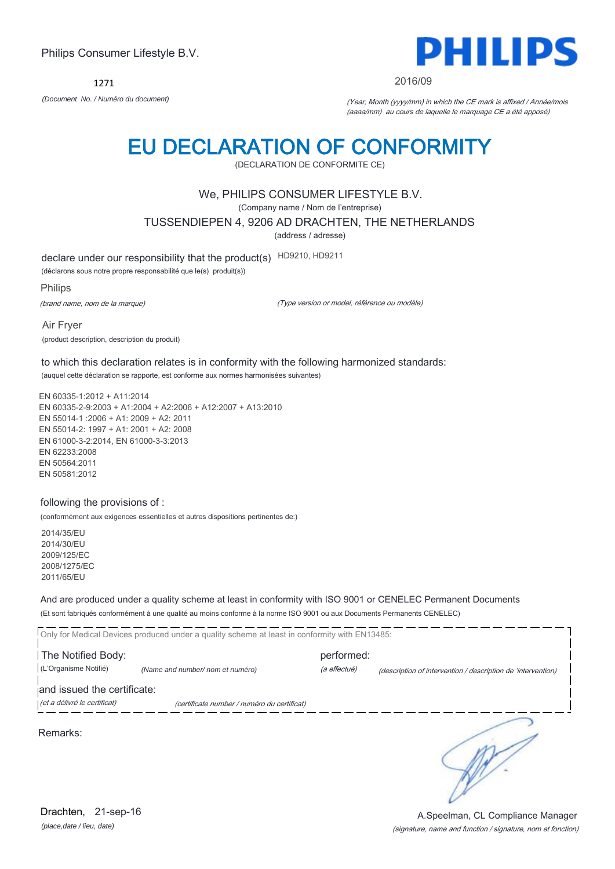1271



2016/09

*(Document No. / Numéro du document)* (Year, Month (yyyy/mm) in which the CE mark is affixed / Année/mois (aaaa/mm) au cours de laquelle le marquage CE a été apposé)

# EU DECLARATION OF CONFORMITY

(DECLARATION DE CONFORMITE CE)

### We, PHILIPS CONSUMER LIFESTYLE B.V.

(Company name / Nom de l'entreprise)

TUSSENDIEPEN 4, 9206 AD DRACHTEN, THE NETHERLANDS

(address / adresse)

declare under our responsibility that the product(s) HD9210, HD9211

(déclarons sous notre propre responsabilité que le(s) produit(s))

Philips

(brand name, nom de la marque)

(Type version or model, référence ou modèle)

Air Fryer (product description, description du produit)

to which this declaration relates is in conformity with the following harmonized standards: (auquel cette déclaration se rapporte, est conforme aux normes harmonisées suivantes)

EN 60335-1:2012 + A11:2014 EN 60335-2-9:2003 + A1:2004 + A2:2006 + A12:2007 + A13:2010 EN 55014-1 :2006 + A1: 2009 + A2: 2011 EN 55014-2: 1997 + A1: 2001 + A2: 2008 EN 61000-3-2:2014, EN 61000-3-3:2013 EN 62233:2008 EN 50564:2011 EN 50581:2012

#### following the provisions of :

(conformément aux exigences essentielles et autres dispositions pertinentes de:)

2014/35/EU 2014/30/EU 2009/125/EC 2008/1275/EC 2011/65/EU

And are produced under a quality scheme at least in conformity with ISO 9001 or CENELEC Permanent Documents (Et sont fabriqués conformément à une qualité au moins conforme à la norme ISO 9001 ou aux Documents Permanents CENELEC)

Only for Medical Devices produced under a quality scheme at least in conformity with EN13485: **The Notified Body: performed:** performed: (L'Organisme Notifié) *(Name and number/ nom et numéro)* (a effectué) (description of intervention / description de 'intervention) and issued the certificate: (et a délivré le certificat) (certificate number / numéro du certificat) ╮ Remarks:

*(place,date / lieu, date)* Drachten, 21-sep-16

### (signature, name and function / signature, nom et fonction) A.Speelman, CL Compliance Manager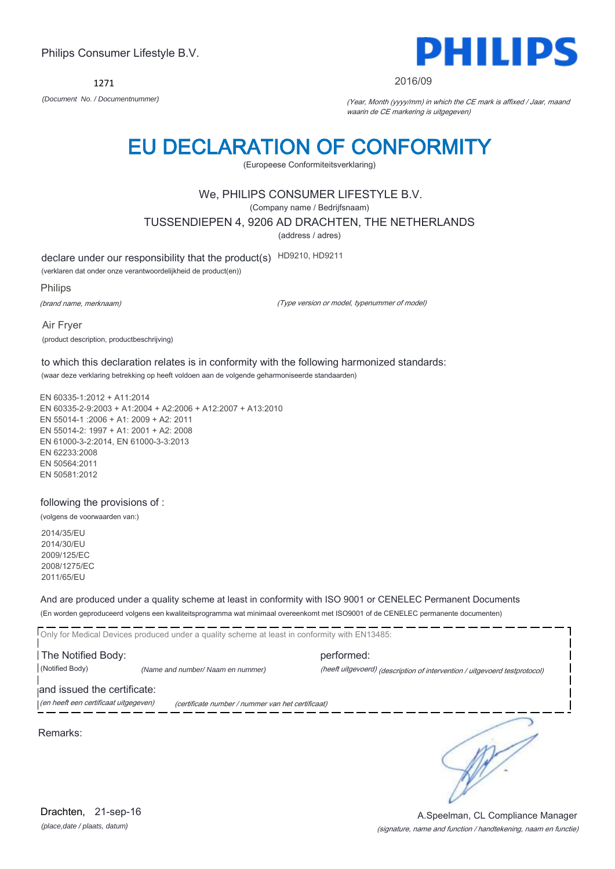1271



#### 2016/09

*(Document No. / Documentnummer)* (Year, Month (yyyy/mm) in which the CE mark is affixed / Jaar, maand waarin de CE markering is uitgegeven)

# EU DECLARATION OF CONFORMITY

(Europeese Conformiteitsverklaring)

### We, PHILIPS CONSUMER LIFESTYLE B.V.

(Company name / Bedrijfsnaam)

TUSSENDIEPEN 4, 9206 AD DRACHTEN, THE NETHERLANDS

(address / adres)

declare under our responsibility that the product(s) HD9210, HD9211

(verklaren dat onder onze verantwoordelijkheid de product(en))

Philips

(brand name, merknaam)

(Type version or model, typenummer of model)

Air Fryer (product description, productbeschrijving)

to which this declaration relates is in conformity with the following harmonized standards: (waar deze verklaring betrekking op heeft voldoen aan de volgende geharmoniseerde standaarden)

EN 60335-1:2012 + A11:2014 EN 60335-2-9:2003 + A1:2004 + A2:2006 + A12:2007 + A13:2010 EN 55014-1 :2006 + A1: 2009 + A2: 2011 EN 55014-2: 1997 + A1: 2001 + A2: 2008 EN 61000-3-2:2014, EN 61000-3-3:2013 EN 62233:2008 EN 50564:2011 EN 50581:2012

following the provisions of :

(volgens de voorwaarden van:)

2014/35/EU 2014/30/EU 2009/125/EC 2008/1275/EC 2011/65/EU

And are produced under a quality scheme at least in conformity with ISO 9001 or CENELEC Permanent Documents (En worden geproduceerd volgens een kwaliteitsprogramma wat minimaal overeenkomt met ISO9001 of de CENELEC permanente documenten)

Only for Medical Devices produced under a quality scheme at least in conformity with EN13485: **The Notified Body: performed:** performed: (Notified Body) *(Name and number/ Naam en nummer)* (heeft uitgevoerd) (description of intervention / uitgevoerd testprotocol) and issued the certificate: (en heeft een certificaat uitgegeven) (certificate number / nummer van het certificaat) ╮

Remarks:

*(place,date / plaats, datum)* Drachten, 21-sep-16

### (signature, name and function / handtekening, naam en functie) A.Speelman, CL Compliance Manager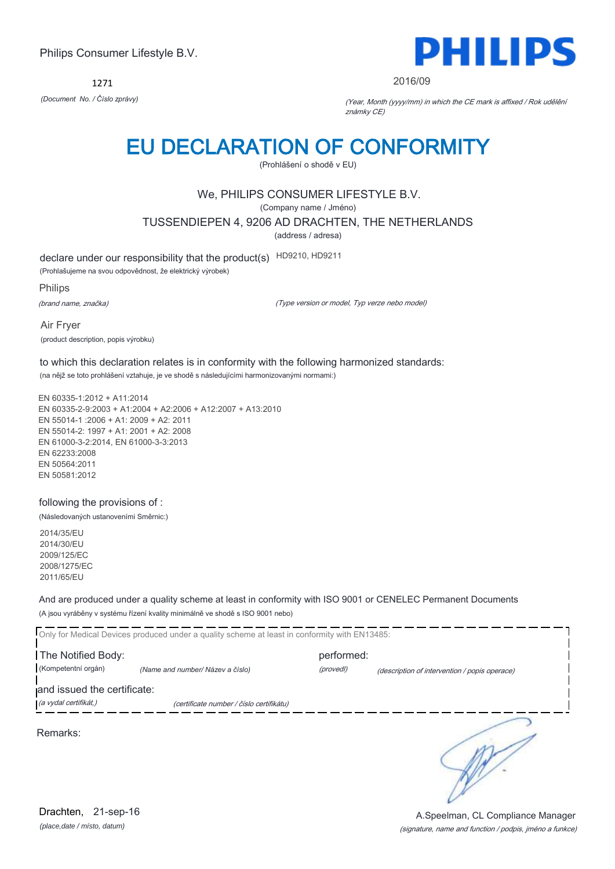1271



#### 2016/09

*(Document No. / Číslo zprávy)* (Year, Month (yyyy/mm) in which the CE mark is affixed / Rok udělění známky CE)

# EU DECLARATION OF CONFORMITY

(Prohlášení o shodě v EU)

### We, PHILIPS CONSUMER LIFESTYLE B.V.

(Company name / Jméno)

TUSSENDIEPEN 4, 9206 AD DRACHTEN, THE NETHERLANDS

(address / adresa)

declare under our responsibility that the product(s) HD9210, HD9211

(Prohlašujeme na svou odpovědnost, že elektrický výrobek)

Philips

(brand name, značka)

(Type version or model, Typ verze nebo model)

Air Fryer (product description, popis výrobku)

to which this declaration relates is in conformity with the following harmonized standards: (na nějž se toto prohlášení vztahuje, je ve shodě s následujícími harmonizovanými normami:)

EN 60335-1:2012 + A11:2014 EN 60335-2-9:2003 + A1:2004 + A2:2006 + A12:2007 + A13:2010 EN 55014-1 :2006 + A1: 2009 + A2: 2011 EN 55014-2: 1997 + A1: 2001 + A2: 2008 EN 61000-3-2:2014, EN 61000-3-3:2013 EN 62233:2008 EN 50564:2011 EN 50581:2012

following the provisions of :

(Následovaných ustanoveními Směrnic:)

2014/35/EU 2014/30/EU 2009/125/EC 2008/1275/EC 2011/65/EU

And are produced under a quality scheme at least in conformity with ISO 9001 or CENELEC Permanent Documents (A jsou vyráběny v systému řízení kvality minimálně ve shodě s ISO 9001 nebo)

Only for Medical Devices produced under a quality scheme at least in conformity with EN13485: **The Notified Body: performed:** performed: (Kompetentní orgán) *(Name and number/ Název a číslo)* (provedl) (description of intervention / popis operace) and issued the certificate: (a vydal certifikát,) (certificate number / číslo certifikátu) 5

Remarks:

*(place,date / místo, datum)* Drachten, 21-sep-16

(signature, name and function / podpis, jméno a funkce) A.Speelman, CL Compliance Manager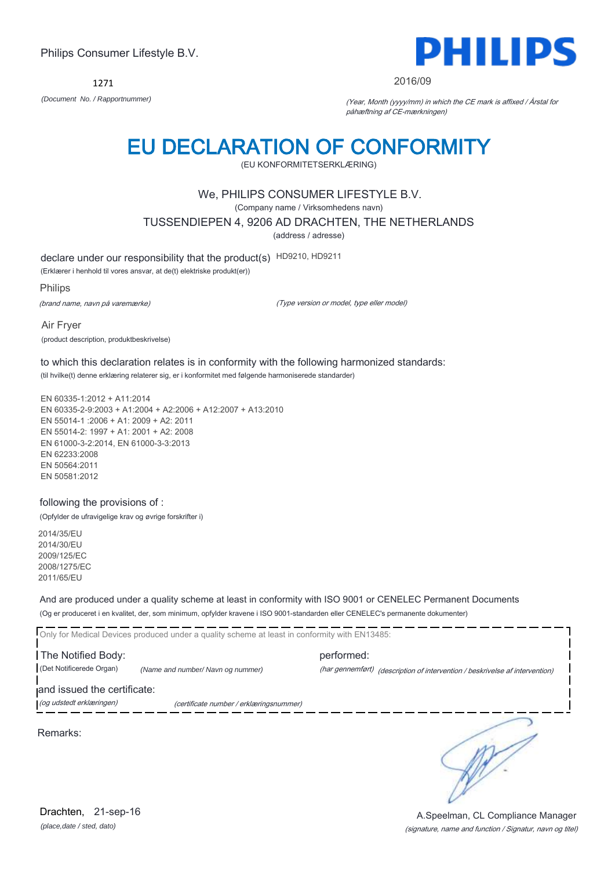1271



#### 2016/09

*(Document No. / Rapportnummer)* (Year, Month (yyyy/mm) in which the CE mark is affixed / Årstal for påhæftning af CE-mærkningen)

# EU DECLARATION OF CONFORMITY

(EU KONFORMITETSERKLÆRING)

### We, PHILIPS CONSUMER LIFESTYLE B.V.

(Company name / Virksomhedens navn)

TUSSENDIEPEN 4, 9206 AD DRACHTEN, THE NETHERLANDS

(address / adresse)

declare under our responsibility that the product(s) HD9210, HD9211

(Erklærer i henhold til vores ansvar, at de(t) elektriske produkt(er))

Philips

(brand name, navn på varemærke)

(Type version or model, type eller model)

Air Fryer (product description, produktbeskrivelse)

to which this declaration relates is in conformity with the following harmonized standards: (til hvilke(t) denne erklæring relaterer sig, er i konformitet med følgende harmoniserede standarder)

EN 60335-1:2012 + A11:2014 EN 60335-2-9:2003 + A1:2004 + A2:2006 + A12:2007 + A13:2010 EN 55014-1 :2006 + A1: 2009 + A2: 2011 EN 55014-2: 1997 + A1: 2001 + A2: 2008 EN 61000-3-2:2014, EN 61000-3-3:2013 EN 62233:2008 EN 50564:2011 EN 50581:2012

#### following the provisions of :

(Opfylder de ufravigelige krav og øvrige forskrifter i)

2014/35/EU 2014/30/EU 2009/125/EC 2008/1275/EC 2011/65/EU

And are produced under a quality scheme at least in conformity with ISO 9001 or CENELEC Permanent Documents (Og er produceret i en kvalitet, der, som minimum, opfylder kravene i ISO 9001-standarden eller CENELEC's permanente dokumenter)

Only for Medical Devices produced under a quality scheme at least in conformity with EN13485: **The Notified Body: performed:** performed: (Det Notificerede Organ) *(Name and number/ Navn og nummer)* (har gennemført) (description of intervention / beskrivelse af intervention) and issued the certificate: (og udstedt erklæringen) (certificate number / erklæringsnummer)

Remarks:

*(place,date / sted, dato)* Drachten, 21-sep-16

∍

(signature, name and function / Signatur, navn og titel) A.Speelman, CL Compliance Manager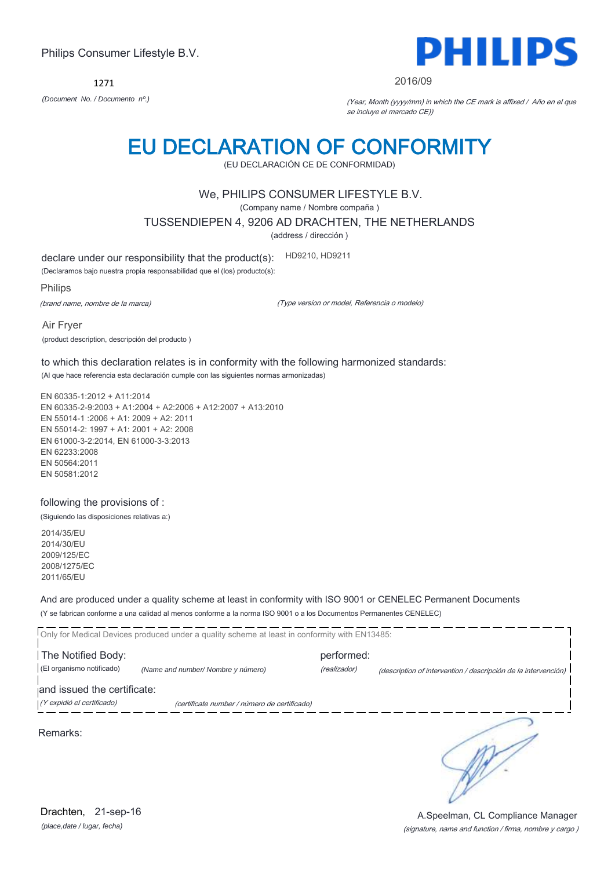*(place,date / lugar, fecha)* Drachten, 21-sep-16

# Philips Consumer Lifestyle B.V.

1271 *(Document No. / Documento nº.)* (Year, Month (yyyy/mm) in which the CE mark is affixed / Año en el que

se incluye el marcado CE))

2016/09

# EU DECLARATION OF CONFORMITY

(EU DECLARACIÓN CE DE CONFORMIDAD)

# We, PHILIPS CONSUMER LIFESTYLE B.V.

(Company name / Nombre compaña )

TUSSENDIEPEN 4, 9206 AD DRACHTEN, THE NETHERLANDS

(address / dirección )

declare under our responsibility that the product(s): HD9210, HD9211

(Declaramos bajo nuestra propia responsabilidad que el (los) producto(s):

Philips

(brand name, nombre de la marca)

(Type version or model, Referencia o modelo)

Air Fryer (product description, descripción del producto )

to which this declaration relates is in conformity with the following harmonized standards: (Al que hace referencia esta declaración cumple con las siguientes normas armonizadas)

EN 60335-1:2012 + A11:2014 EN 60335-2-9:2003 + A1:2004 + A2:2006 + A12:2007 + A13:2010 EN 55014-1 :2006 + A1: 2009 + A2: 2011 EN 55014-2: 1997 + A1: 2001 + A2: 2008 EN 61000-3-2:2014, EN 61000-3-3:2013 EN 62233:2008 EN 50564:2011 EN 50581:2012

### following the provisions of :

(Siguiendo las disposiciones relativas a:)

2014/35/EU 2014/30/EU 2009/125/EC 2008/1275/EC 2011/65/EU

And are produced under a quality scheme at least in conformity with ISO 9001 or CENELEC Permanent Documents (Y se fabrican conforme a una calidad al menos conforme a la norma ISO 9001 o a los Documentos Permanentes CENELEC)

Only for Medical Devices produced under a quality scheme at least in conformity with EN13485: **The Notified Body: performed:** performed: (El organismo notificado) *(Name and number/ Nombre y número)* (realizador) (description of intervention / descripción de la intervención) and issued the certificate: (Y expidió el certificado) (certificate number / número de certificado) ╮

Remarks:

A.Speelman, CL Compliance Manager

(signature, name and function / firma, nombre y cargo )

DHIII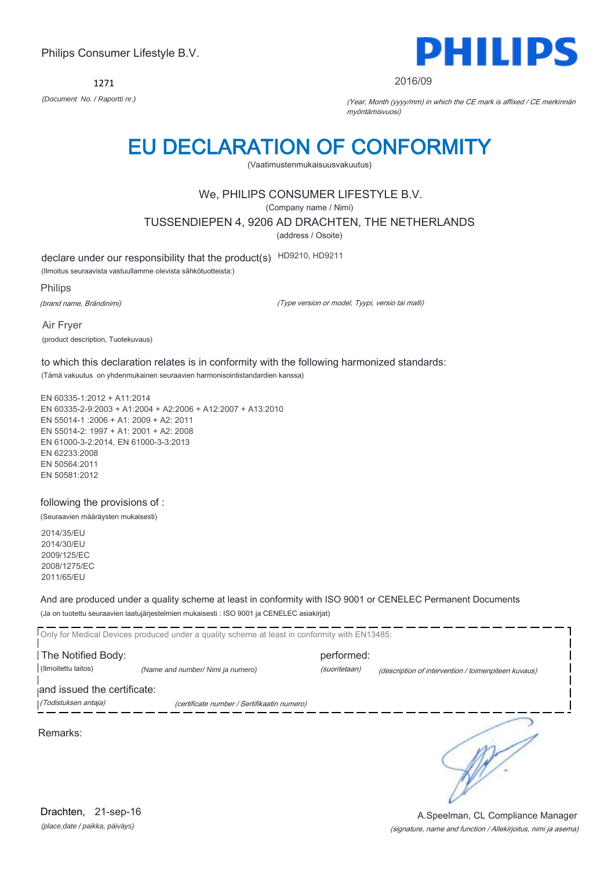1271



#### 2016/09

*(Document No. / Raportti nr.)* (Year, Month (yyyy/mm) in which the CE mark is affixed / CE merkinnän myöntämisvuosi)

# EU DECLARATION OF CONFORMITY

(Vaatimustenmukaisuusvakuutus)

### We, PHILIPS CONSUMER LIFESTYLE B.V.

(Company name / Nimi)

TUSSENDIEPEN 4, 9206 AD DRACHTEN, THE NETHERLANDS

(address / Osoite)

declare under our responsibility that the product(s) HD9210, HD9211

(Ilmoitus seuraavista vastuullamme olevista sähkötuotteista:)

Philips

(brand name, Brändinimi)

(Type version or model, Tyypi, versio tai malli)

Air Fryer (product description, Tuotekuvaus)

to which this declaration relates is in conformity with the following harmonized standards: (Tämä vakuutus on yhdenmukainen seuraavien harmonisointistandardien kanssa)

EN 60335-1:2012 + A11:2014 EN 60335-2-9:2003 + A1:2004 + A2:2006 + A12:2007 + A13:2010 EN 55014-1 :2006 + A1: 2009 + A2: 2011 EN 55014-2: 1997 + A1: 2001 + A2: 2008 EN 61000-3-2:2014, EN 61000-3-3:2013 EN 62233:2008 EN 50564:2011 EN 50581:2012

following the provisions of :

(Seuraavien määräysten mukaisesti)

2014/35/EU 2014/30/EU 2009/125/EC 2008/1275/EC 2011/65/EU

And are produced under a quality scheme at least in conformity with ISO 9001 or CENELEC Permanent Documents (Ja on tuotettu seuraavien laatujärjestelmien mukaisesti : ISO 9001 ja CENELEC asiakirjat)

|                             | Only for Medical Devices produced under a quality scheme at least in conformity with EN13485: |               |                                                     |
|-----------------------------|-----------------------------------------------------------------------------------------------|---------------|-----------------------------------------------------|
| The Notified Body:          |                                                                                               | performed:    |                                                     |
| (Ilmoitettu laitos)         | (Name and number/ Nimi ja numero)                                                             | (suoritetaan) | (description of intervention / toimenpiteen kuvaus) |
| and issued the certificate: |                                                                                               |               |                                                     |
| (Todistuksen antaja)        | (certificate number / Sertifikaatin numero)                                                   |               |                                                     |

*(place,date / paikka, päiväys)* Drachten, 21-sep-16

### (signature, name and function / Allekirjoitus, nimi ja asema) A.Speelman, CL Compliance Manager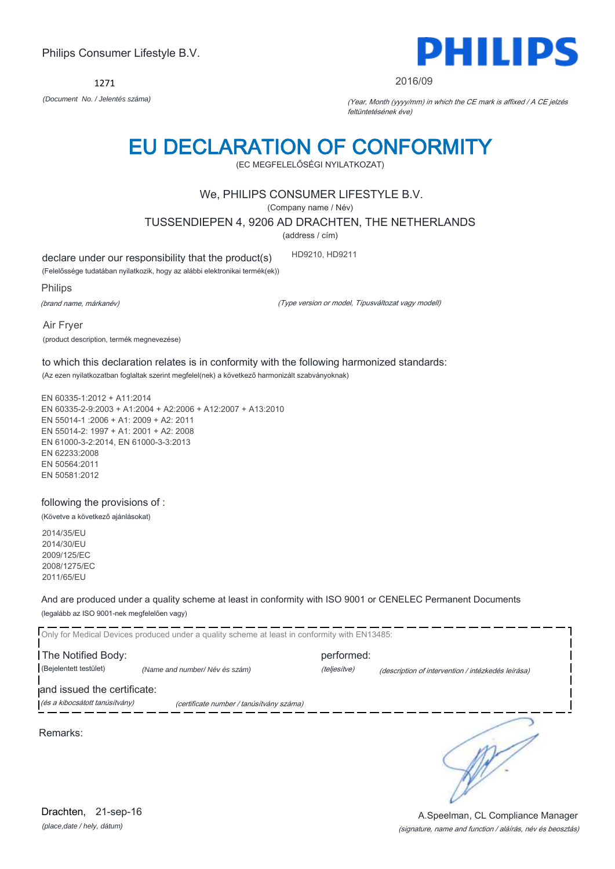1271



#### 2016/09

*(Document No. / Jelentés száma)* (Year, Month (yyyy/mm) in which the CE mark is affixed / A CE jelzés feltüntetésének éve)

# EU DECLARATION OF CONFORMITY

(EC MEGFELELŐSÉGI NYILATKOZAT)

### We, PHILIPS CONSUMER LIFESTYLE B.V.

(Company name / Név)

TUSSENDIEPEN 4, 9206 AD DRACHTEN, THE NETHERLANDS

(address / cím)

declare under our responsibility that the product(s) HD9210, HD9211

(Felelőssége tudatában nyilatkozik, hogy az alábbi elektronikai termék(ek))

Philips

(brand name, márkanév)

(Type version or model, Típusváltozat vagy modell)

Air Fryer (product description, termék megnevezése)

to which this declaration relates is in conformity with the following harmonized standards: (Az ezen nyilatkozatban foglaltak szerint megfelel(nek) a következő harmonizált szabványoknak)

EN 60335-1:2012 + A11:2014 EN 60335-2-9:2003 + A1:2004 + A2:2006 + A12:2007 + A13:2010 EN 55014-1 :2006 + A1: 2009 + A2: 2011 EN 55014-2: 1997 + A1: 2001 + A2: 2008 EN 61000-3-2:2014, EN 61000-3-3:2013 EN 62233:2008 EN 50564:2011 EN 50581:2012

following the provisions of : (Követve a következő ajánlásokat)

2014/35/EU 2014/30/EU 2009/125/EC 2008/1275/EC 2011/65/EU

And are produced under a quality scheme at least in conformity with ISO 9001 or CENELEC Permanent Documents (legalább az ISO 9001-nek megfelelően vagy)

|                                | Only for Medical Devices produced under a quality scheme at least in conformity with EN13485: |              |                                                    |
|--------------------------------|-----------------------------------------------------------------------------------------------|--------------|----------------------------------------------------|
| The Notified Body:             |                                                                                               | performed:   |                                                    |
| (Bejelentett testület)         | (Name and number/Név és szám)                                                                 | (teljesítve) | (description of intervention / intézkedés leírása) |
| and issued the certificate:    |                                                                                               |              |                                                    |
| (és a kibocsátott tanúsítvány) | (certificate number / tanúsítvány száma)                                                      |              |                                                    |
| Remarks:                       |                                                                                               |              |                                                    |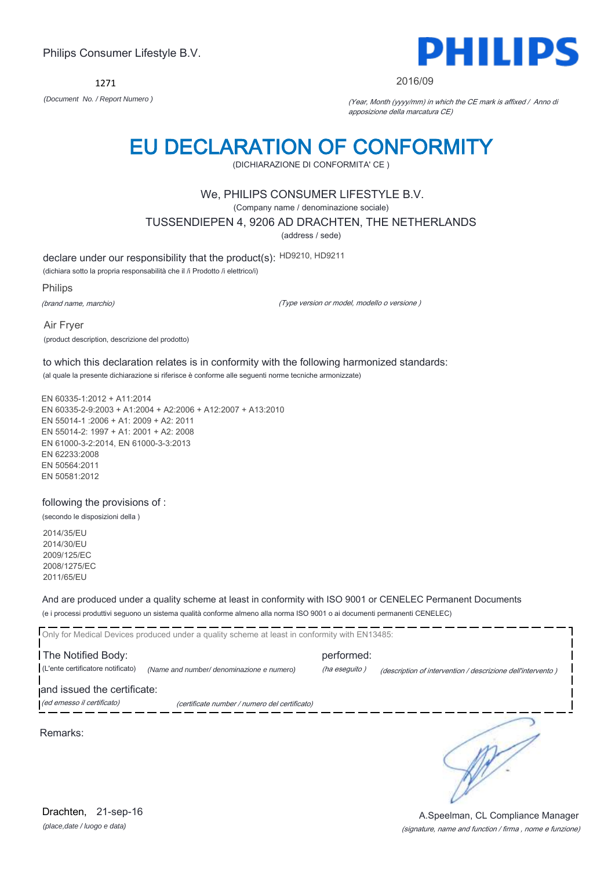1271



#### 2016/09

*(Document No. / Report Numero )* (Year, Month (yyyy/mm) in which the CE mark is affixed / Anno di apposizione della marcatura CE)

# EU DECLARATION OF CONFORMITY

(DICHIARAZIONE DI CONFORMITA' CE )

### We, PHILIPS CONSUMER LIFESTYLE B.V.

(Company name / denominazione sociale)

TUSSENDIEPEN 4, 9206 AD DRACHTEN, THE NETHERLANDS

(address / sede)

declare under our responsibility that the product(s): HD9210, HD9211

(dichiara sotto la propria responsabilità che il /i Prodotto /i elettrico/i)

Philips

(brand name, marchio)

(Type version or model, modello o versione )

Air Fryer (product description, descrizione del prodotto)

to which this declaration relates is in conformity with the following harmonized standards: (al quale la presente dichiarazione si riferisce è conforme alle seguenti norme tecniche armonizzate)

EN 60335-1:2012 + A11:2014 EN 60335-2-9:2003 + A1:2004 + A2:2006 + A12:2007 + A13:2010 EN 55014-1 :2006 + A1: 2009 + A2: 2011 EN 55014-2: 1997 + A1: 2001 + A2: 2008 EN 61000-3-2:2014, EN 61000-3-3:2013 EN 62233:2008 EN 50564:2011 EN 50581:2012

following the provisions of :

(secondo le disposizioni della )

2014/35/EU 2014/30/EU 2009/125/EC 2008/1275/EC 2011/65/EU

And are produced under a quality scheme at least in conformity with ISO 9001 or CENELEC Permanent Documents (e i processi produttivi seguono un sistema qualità conforme almeno alla norma ISO 9001 o ai documenti permanenti CENELEC)

|                                                           | Only for Medical Devices produced under a quality scheme at least in conformity with EN13485: |                             |                                                             |
|-----------------------------------------------------------|-----------------------------------------------------------------------------------------------|-----------------------------|-------------------------------------------------------------|
| The Notified Body:<br>(L'ente certificatore notificato)   | (Name and number/ denominazione e numero)                                                     | performed:<br>(ha eseguito) | (description of intervention / descrizione dell'intervento) |
| and issued the certificate:<br>(ed emesso il certificato) | (certificate number / numero del certificato)                                                 |                             |                                                             |
| Remarks:                                                  |                                                                                               |                             |                                                             |

*(place,date / luogo e data)* Drachten, 21-sep-16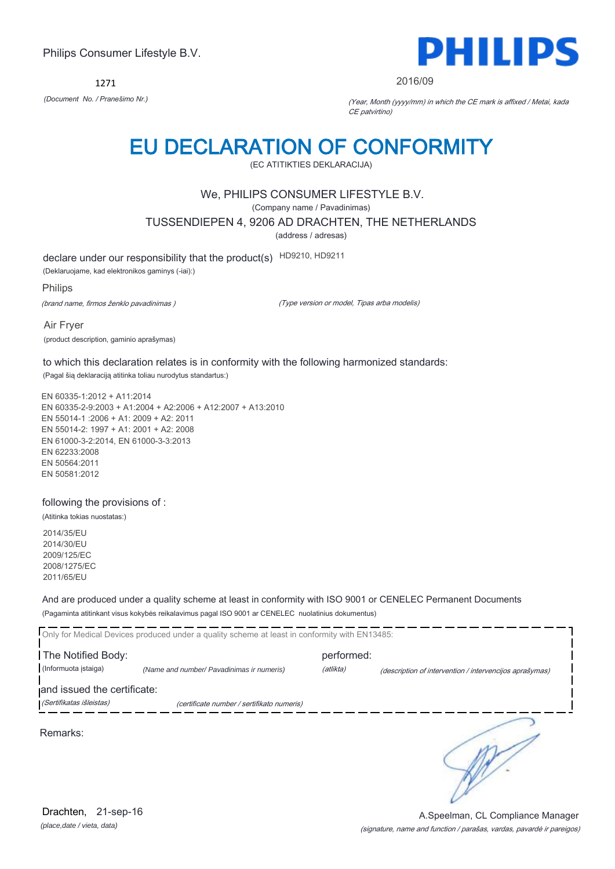1271



2016/09

*(Document No. / Pranešimo Nr.)* (Year, Month (yyyy/mm) in which the CE mark is affixed / Metai, kada CE patvirtino)

# EU DECLARATION OF CONFORMITY

(EC ATITIKTIES DEKLARACIJA)

### We, PHILIPS CONSUMER LIFESTYLE B.V.

(Company name / Pavadinimas)

TUSSENDIEPEN 4, 9206 AD DRACHTEN, THE NETHERLANDS

(address / adresas)

declare under our responsibility that the product(s) HD9210, HD9211

(Deklaruojame, kad elektronikos gaminys (-iai):)

Philips

(brand name, firmos ženklo pavadinimas )

(Type version or model, Tipas arba modelis)

Air Fryer (product description, gaminio aprašymas)

to which this declaration relates is in conformity with the following harmonized standards: (Pagal šią deklaraciją atitinka toliau nurodytus standartus:)

EN 60335-1:2012 + A11:2014 EN 60335-2-9:2003 + A1:2004 + A2:2006 + A12:2007 + A13:2010 EN 55014-1 :2006 + A1: 2009 + A2: 2011 EN 55014-2: 1997 + A1: 2001 + A2: 2008 EN 61000-3-2:2014, EN 61000-3-3:2013 EN 62233:2008 EN 50564:2011 EN 50581:2012

following the provisions of :

(Atitinka tokias nuostatas:)

2014/35/EU 2014/30/EU 2009/125/EC 2008/1275/EC 2011/65/EU

And are produced under a quality scheme at least in conformity with ISO 9001 or CENELEC Permanent Documents (Pagaminta atitinkant visus kokybės reikalavimus pagal ISO 9001 ar CENELEC nuolatinius dokumentus)

|                             | Only for Medical Devices produced under a quality scheme at least in conformity with EN13485: |            |                                                         |
|-----------------------------|-----------------------------------------------------------------------------------------------|------------|---------------------------------------------------------|
| The Notified Body:          |                                                                                               | performed: |                                                         |
| (Informuota istaiga)        | (Name and number/ Pavadinimas ir numeris)                                                     | (atlikta)  | (description of intervention / intervencijos aprašymas) |
| and issued the certificate: |                                                                                               |            |                                                         |
| (Sertifikatas išleistas)    | (certificate number / sertifikato numeris)                                                    |            |                                                         |
| Remarks:                    |                                                                                               |            |                                                         |

*(place,date / vieta, data)* Drachten, 21-sep-16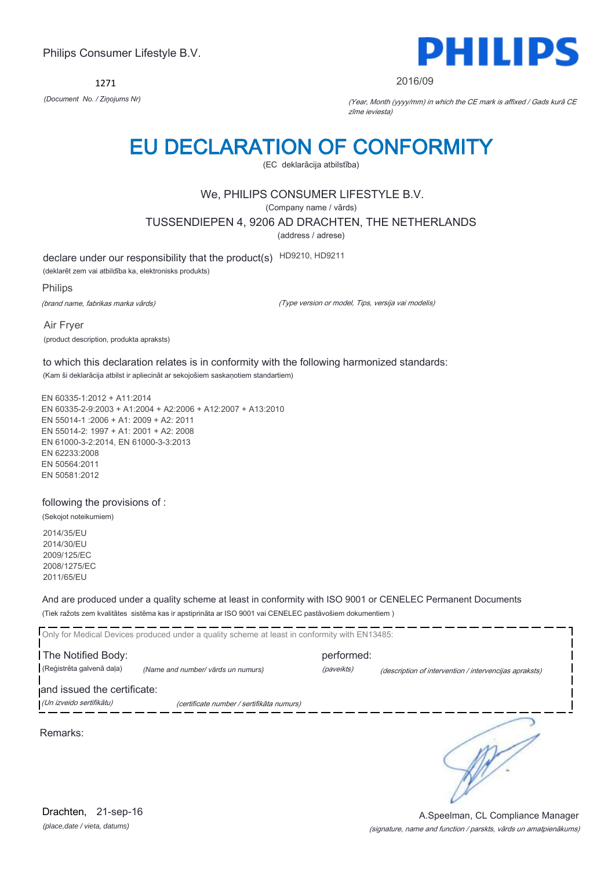1271



#### 2016/09

*(Document No. / Ziņojums Nr)* (Year, Month (yyyy/mm) in which the CE mark is affixed / Gads kurā CE zīme ieviesta)

# EU DECLARATION OF CONFORMITY

(EC deklarācija atbilstība)

### We, PHILIPS CONSUMER LIFESTYLE B.V.

(Company name / vārds)

TUSSENDIEPEN 4, 9206 AD DRACHTEN, THE NETHERLANDS

(address / adrese)

declare under our responsibility that the product(s) HD9210, HD9211

(deklarēt zem vai atbildība ka, elektronisks produkts)

Philips

(brand name, fabrikas marka vārds)

(Type version or model, Tips, versija vai modelis)

Air Fryer (product description, produkta apraksts)

to which this declaration relates is in conformity with the following harmonized standards: (Kam ši deklarācija atbilst ir apliecināt ar sekojošiem saskaņotiem standartiem)

EN 60335-1:2012 + A11:2014 EN 60335-2-9:2003 + A1:2004 + A2:2006 + A12:2007 + A13:2010 EN 55014-1 :2006 + A1: 2009 + A2: 2011 EN 55014-2: 1997 + A1: 2001 + A2: 2008 EN 61000-3-2:2014, EN 61000-3-3:2013 EN 62233:2008 EN 50564:2011 EN 50581:2012

following the provisions of :

(Sekojot noteikumiem)

2014/35/EU 2014/30/EU 2009/125/EC 2008/1275/EC 2011/65/EU

And are produced under a quality scheme at least in conformity with ISO 9001 or CENELEC Permanent Documents (Tiek ražots zem kvalitātes sistēma kas ir apstiprināta ar ISO 9001 vai CENELEC pastāvošiem dokumentiem )

|                             | Only for Medical Devices produced under a quality scheme at least in conformity with EN13485: |            |                                                        |
|-----------------------------|-----------------------------------------------------------------------------------------------|------------|--------------------------------------------------------|
| The Notified Body:          |                                                                                               | performed: |                                                        |
| (Reģistrēta galvenā daļa)   | (Name and number/ vārds un numurs)                                                            | (paveikts) | (description of intervention / intervencijas apraksts) |
| and issued the certificate: |                                                                                               |            |                                                        |
| (Un izveido sertifikātu)    | (certificate number / sertifikāta numurs)                                                     |            |                                                        |
| Remarks:                    |                                                                                               |            |                                                        |

*(place,date / vieta, datums)* Drachten, 21-sep-16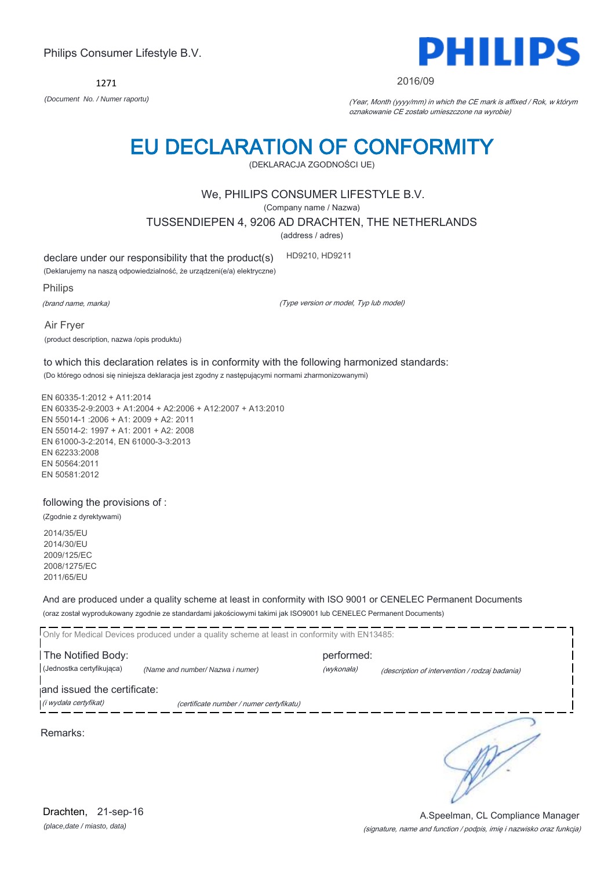1271



#### 2016/09

*(Document No. / Numer raportu)* (Year, Month (yyyy/mm) in which the CE mark is affixed / Rok, w którym oznakowanie CE zostało umieszczone na wyrobie)

# EU DECLARATION OF CONFORMITY

(DEKLARACJA ZGODNOŚCI UE)

### We, PHILIPS CONSUMER LIFESTYLE B.V.

(Company name / Nazwa)

TUSSENDIEPEN 4, 9206 AD DRACHTEN, THE NETHERLANDS

(address / adres)

declare under our responsibility that the product(s) HD9210, HD9211

(Deklarujemy na naszą odpowiedzialność, że urządzeni(e/a) elektryczne)

Philips

(brand name, marka)

(Type version or model, Typ lub model)

Air Fryer (product description, nazwa /opis produktu)

to which this declaration relates is in conformity with the following harmonized standards: (Do którego odnosi się niniejsza deklaracja jest zgodny z następującymi normami zharmonizowanymi)

EN 60335-1:2012 + A11:2014 EN 60335-2-9:2003 + A1:2004 + A2:2006 + A12:2007 + A13:2010 EN 55014-1 :2006 + A1: 2009 + A2: 2011 EN 55014-2: 1997 + A1: 2001 + A2: 2008 EN 61000-3-2:2014, EN 61000-3-3:2013 EN 62233:2008 EN 50564:2011 EN 50581:2012

following the provisions of :

(Zgodnie z dyrektywami)

2014/35/EU 2014/30/EU 2009/125/EC 2008/1275/EC 2011/65/EU

And are produced under a quality scheme at least in conformity with ISO 9001 or CENELEC Permanent Documents (oraz został wyprodukowany zgodnie ze standardami jakościowymi takimi jak ISO9001 lub CENELEC Permanent Documents)

|                             | Only for Medical Devices produced under a quality scheme at least in conformity with EN13485: |            |                                                |
|-----------------------------|-----------------------------------------------------------------------------------------------|------------|------------------------------------------------|
| The Notified Body:          |                                                                                               | performed: |                                                |
| (Jednostka certyfikujaca)   | (Name and number/ Nazwa i numer)                                                              | (wykonała) | (description of intervention / rodzaj badania) |
| and issued the certificate: |                                                                                               |            |                                                |
| (i wydała certyfikat)       | (certificate number / numer certyfikatu)                                                      |            |                                                |
|                             |                                                                                               |            |                                                |

Remarks:

 $\mathbb{R}^2$ 

*(place,date / miasto, data)* Drachten, 21-sep-16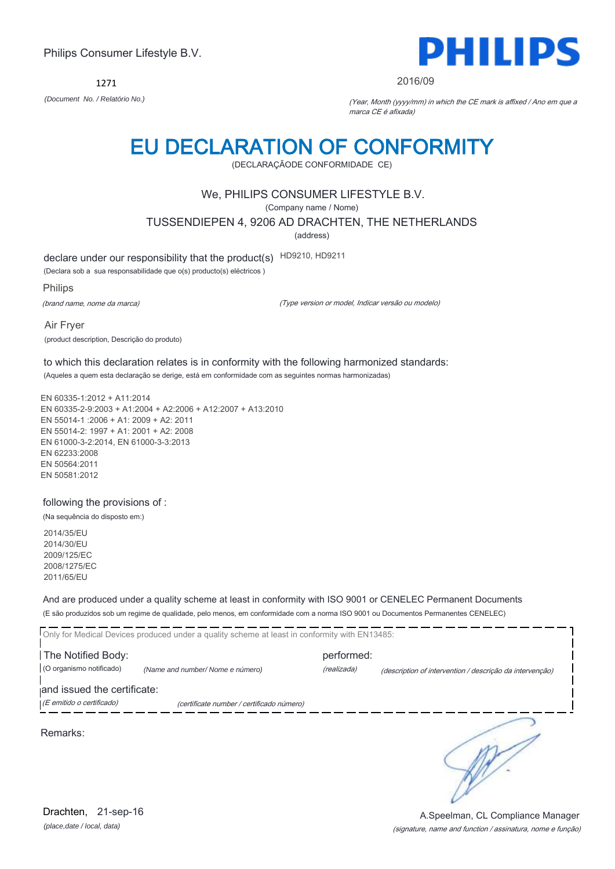1271



#### 2016/09

*(Document No. / Relatório No.)* (Year, Month (yyyy/mm) in which the CE mark is affixed / Ano em que a marca CE é afixada)

# EU DECLARATION OF CONFORMITY

(DECLARAÇÃODE CONFORMIDADE CE)

### We, PHILIPS CONSUMER LIFESTYLE B.V.

(Company name / Nome)

TUSSENDIEPEN 4, 9206 AD DRACHTEN, THE NETHERLANDS

(address)

declare under our responsibility that the product(s) HD9210, HD9211

(Declara sob a sua responsabilidade que o(s) producto(s) eléctricos )

Philips

(brand name, nome da marca)

(Type version or model, Indicar versão ou modelo)

Air Fryer (product description, Descrição do produto)

to which this declaration relates is in conformity with the following harmonized standards: (Aqueles a quem esta declaração se derige, está em conformidade com as seguintes normas harmonizadas)

EN 60335-1:2012 + A11:2014 EN 60335-2-9:2003 + A1:2004 + A2:2006 + A12:2007 + A13:2010 EN 55014-1 :2006 + A1: 2009 + A2: 2011 EN 55014-2: 1997 + A1: 2001 + A2: 2008 EN 61000-3-2:2014, EN 61000-3-3:2013 EN 62233:2008 EN 50564:2011 EN 50581:2012

following the provisions of :

(Na sequência do disposto em:)

2014/35/EU 2014/30/EU 2009/125/EC 2008/1275/EC 2011/65/EU

And are produced under a quality scheme at least in conformity with ISO 9001 or CENELEC Permanent Documents (E são produzidos sob um regime de qualidade, pelo menos, em conformidade com a norma ISO 9001 ou Documentos Permanentes CENELEC)

Only for Medical Devices produced under a quality scheme at least in conformity with EN13485: The Notified Body: example and the Notified Body: (O organismo notificado) *(Name and number/ Nome e número)* (realizada) (description of intervention / descrição da intervenção) and issued the certificate: (E emitido o certificado) (certificate number / certificado número) ₹

Remarks:

*(place,date / local, data)* Drachten, 21-sep-16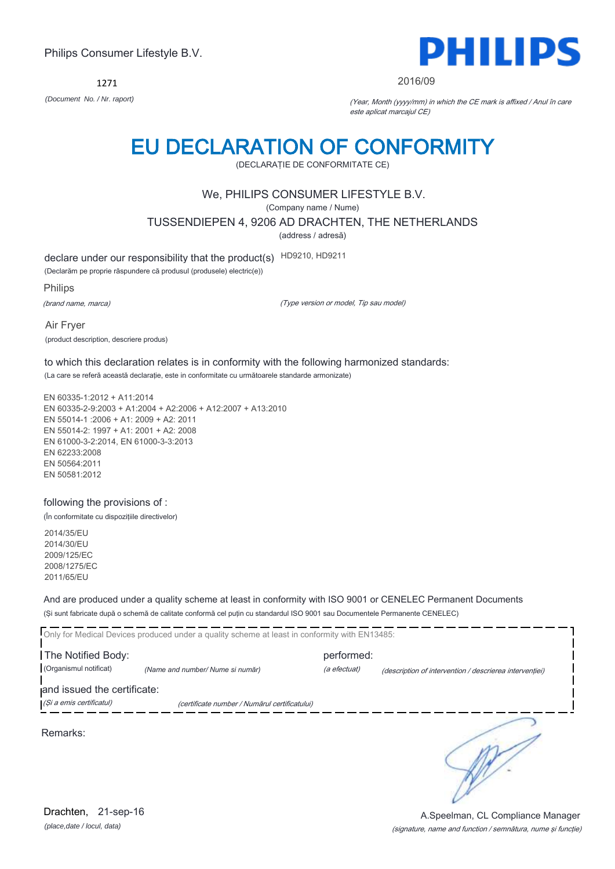1271



#### 2016/09

*(Document No. / Nr. raport)* (Year, Month (yyyy/mm) in which the CE mark is affixed / Anul în care este aplicat marcajul CE)

# EU DECLARATION OF CONFORMITY

(DECLARAŢIE DE CONFORMITATE CE)

### We, PHILIPS CONSUMER LIFESTYLE B.V.

(Company name / Nume)

TUSSENDIEPEN 4, 9206 AD DRACHTEN, THE NETHERLANDS

(address / adresă)

declare under our responsibility that the product(s) HD9210, HD9211

(Declarăm pe proprie răspundere că produsul (produsele) electric(e))

Philips

(brand name, marca)

(Type version or model, Tip sau model)

Air Fryer (product description, descriere produs)

to which this declaration relates is in conformity with the following harmonized standards: (La care se referă această declaraţie, este in conformitate cu următoarele standarde armonizate)

EN 60335-1:2012 + A11:2014 EN 60335-2-9:2003 + A1:2004 + A2:2006 + A12:2007 + A13:2010 EN 55014-1 :2006 + A1: 2009 + A2: 2011 EN 55014-2: 1997 + A1: 2001 + A2: 2008 EN 61000-3-2:2014, EN 61000-3-3:2013 EN 62233:2008 EN 50564:2011 EN 50581:2012

#### following the provisions of :

(În conformitate cu dispoziţiile directivelor)

2014/35/EU 2014/30/EU 2009/125/EC 2008/1275/EC 2011/65/EU

And are produced under a quality scheme at least in conformity with ISO 9001 or CENELEC Permanent Documents (Şi sunt fabricate după o schemă de calitate conformă cel puţin cu standardul ISO 9001 sau Documentele Permanente CENELEC)

|                                              | Only for Medical Devices produced under a quality scheme at least in conformity with EN13485: |                            |                                                         |
|----------------------------------------------|-----------------------------------------------------------------------------------------------|----------------------------|---------------------------------------------------------|
| The Notified Body:<br>(Organismul notificat) | (Name and number/ Nume si număr)                                                              | performed:<br>(a efectuat) | (description of intervention / descrierea interventiei) |
| and issued the certificate:                  |                                                                                               |                            |                                                         |
| (Și a emis certificatul)                     | (certificate number / Numărul certificatului)                                                 |                            |                                                         |
| Remarks:                                     |                                                                                               |                            |                                                         |

*(place,date / locul, data)* Drachten, 21-sep-16

#### (signature, name and function / semnătura, nume şi funcţie) A.Speelman, CL Compliance Manager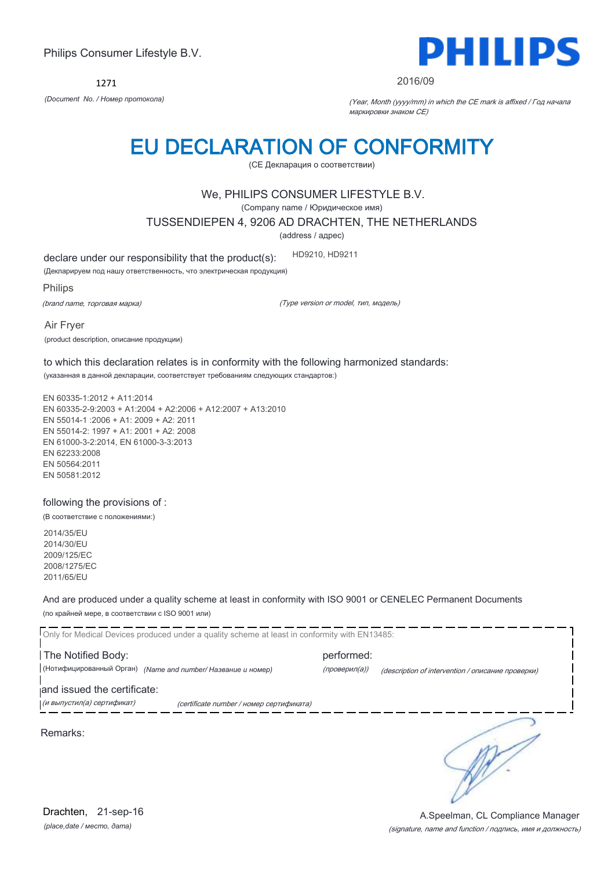1271



#### 2016/09

*(Document No. / Номер протокола)* (Year, Month (yyyy/mm) in which the CE mark is affixed / Год начала маркировки знаком CE)

# EU DECLARATION OF CONFORMITY

(CE Декларация о соответствии)

### We, PHILIPS CONSUMER LIFESTYLE B.V.

(Company name / Юридическое имя)

TUSSENDIEPEN 4, 9206 AD DRACHTEN, THE NETHERLANDS

(address / адрес)

declare under our responsibility that the product(s): HD9210, HD9211

(Декларируем под нашу ответственность, что электрическая продукция)

Philips

(brand name, торговая марка)

(Type version or model, тип, модель)

Air Fryer (product description, описание продукции)

to which this declaration relates is in conformity with the following harmonized standards: (указанная в данной декларации, соответствует требованиям следующих стандартов:)

EN 60335-1:2012 + A11:2014 EN 60335-2-9:2003 + A1:2004 + A2:2006 + A12:2007 + A13:2010 EN 55014-1 :2006 + A1: 2009 + A2: 2011 EN 55014-2: 1997 + A1: 2001 + A2: 2008 EN 61000-3-2:2014, EN 61000-3-3:2013 EN 62233:2008 EN 50564:2011 EN 50581:2012

following the provisions of :

(В соответствие с положениями:)

2014/35/EU 2014/30/EU 2009/125/EC 2008/1275/EC 2011/65/EU

And are produced under a quality scheme at least in conformity with ISO 9001 or CENELEC Permanent Documents (по крайней мере, в соответствии с ISO 9001 или)

Only for Medical Devices produced under a quality scheme at least in conformity with EN13485: The Notified Body: example and the Notified Body: (Нотифицированный Орган) *(Name and number/ Название и номер)* (проверил(а)) (description of intervention / описание проверки) and issued the certificate: (и выпустил(а) сертификат) (certificate number / номер сертификата) ₹ Remarks:

*(place,date / место, дата)* Drachten, 21-sep-16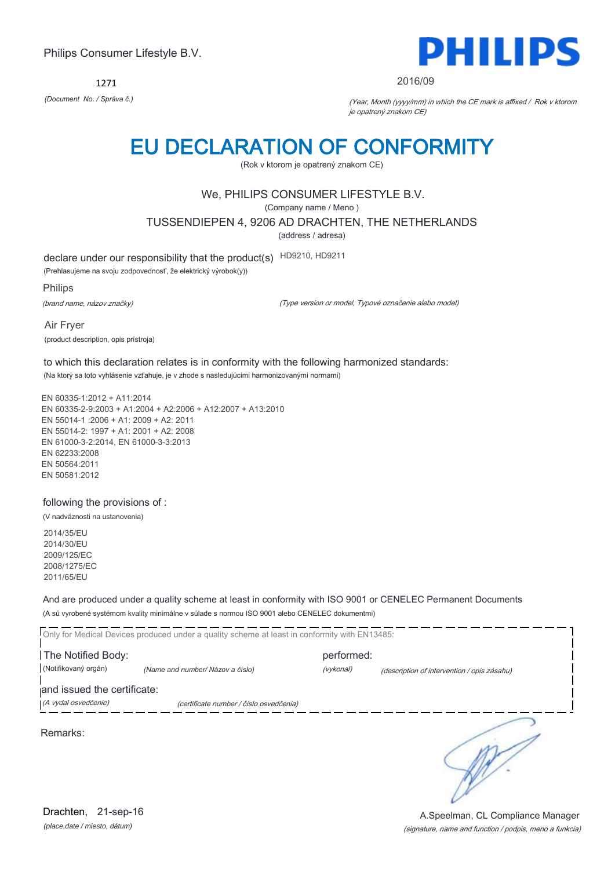1271



#### 2016/09

*(Document No. / Správa č.)* (Year, Month (yyyy/mm) in which the CE mark is affixed / Rok v ktorom je opatrený znakom CE)

# EU DECLARATION OF CONFORMITY

(Rok v ktorom je opatrený znakom CE)

### We, PHILIPS CONSUMER LIFESTYLE B.V.

(Company name / Meno )

TUSSENDIEPEN 4, 9206 AD DRACHTEN, THE NETHERLANDS

(address / adresa)

declare under our responsibility that the product(s) HD9210, HD9211

(Prehlasujeme na svoju zodpovednosť, že elektrický výrobok(y))

Philips

(brand name, názov značky)

(Type version or model, Typové označenie alebo model)

Air Fryer (product description, opis prístroja)

to which this declaration relates is in conformity with the following harmonized standards: (Na ktorý sa toto vyhlásenie vzťahuje, je v zhode s nasledujúcimi harmonizovanými normami)

EN 60335-1:2012 + A11:2014 EN 60335-2-9:2003 + A1:2004 + A2:2006 + A12:2007 + A13:2010 EN 55014-1 :2006 + A1: 2009 + A2: 2011 EN 55014-2: 1997 + A1: 2001 + A2: 2008 EN 61000-3-2:2014, EN 61000-3-3:2013 EN 62233:2008 EN 50564:2011 EN 50581:2012

following the provisions of :

(V nadväznosti na ustanovenia)

2014/35/EU 2014/30/EU 2009/125/EC 2008/1275/EC 2011/65/EU

And are produced under a quality scheme at least in conformity with ISO 9001 or CENELEC Permanent Documents (A sú vyrobené systémom kvality minimálne v súlade s normou ISO 9001 alebo CENELEC dokumentmi)

Only for Medical Devices produced under a quality scheme at least in conformity with EN13485: The Notified Body: example and the Notified Body: (Notifikovaný orgán) *(Name and number/ Názov a číslo)* (vykonal) (description of intervention / opis zásahu) and issued the certificate: (A vydal osvedčenie) (certificate number / číslo osvedčenia) ₹ Remarks:

*(place,date / miesto, dátum)* Drachten, 21-sep-16

### (signature, name and function / podpis, meno a funkcia) A.Speelman, CL Compliance Manager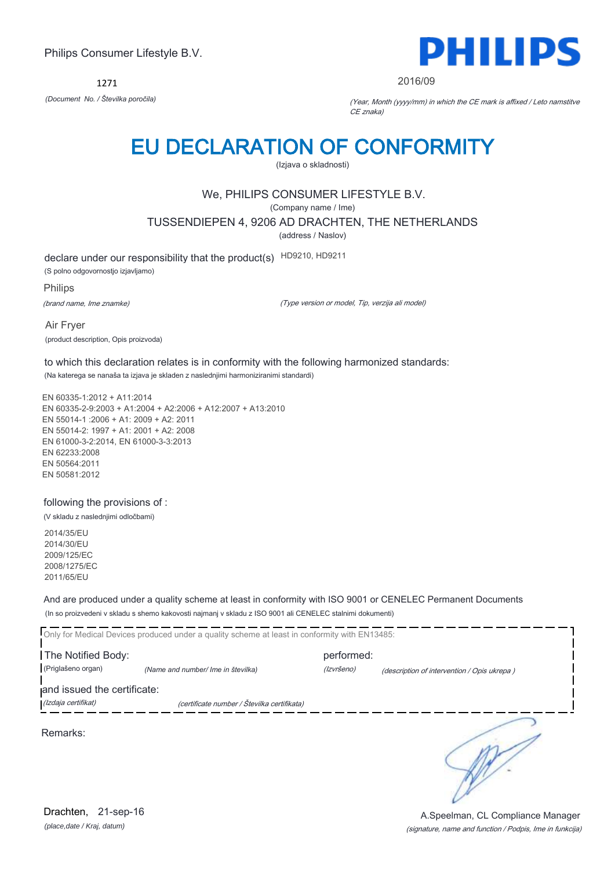1271



#### 2016/09

*(Document No. / Številka poročila)* (Year, Month (yyyy/mm) in which the CE mark is affixed / Leto namstitve CE znaka)

# EU DECLARATION OF CONFORMITY

(Izjava o skladnosti)

## We, PHILIPS CONSUMER LIFESTYLE B.V.

(Company name / Ime)

TUSSENDIEPEN 4, 9206 AD DRACHTEN, THE NETHERLANDS

(address / Naslov)

declare under our responsibility that the product(s) HD9210, HD9211 (S polno odgovornostjo izjavljamo)

Philips

(brand name, Ime znamke)

(Type version or model, Tip, verzija ali model)

Air Fryer (product description, Opis proizvoda)

to which this declaration relates is in conformity with the following harmonized standards: (Na katerega se nanaša ta izjava je skladen z naslednjimi harmoniziranimi standardi)

EN 60335-1:2012 + A11:2014 EN 60335-2-9:2003 + A1:2004 + A2:2006 + A12:2007 + A13:2010 EN 55014-1 :2006 + A1: 2009 + A2: 2011 EN 55014-2: 1997 + A1: 2001 + A2: 2008 EN 61000-3-2:2014, EN 61000-3-3:2013 EN 62233:2008 EN 50564:2011 EN 50581:2012

following the provisions of :

(V skladu z naslednjimi odločbami)

2014/35/EU 2014/30/EU 2009/125/EC 2008/1275/EC 2011/65/EU

And are produced under a quality scheme at least in conformity with ISO 9001 or CENELEC Permanent Documents (In so proizvedeni v skladu s shemo kakovosti najmanj v skladu z ISO 9001 ali CENELEC stalnimi dokumenti)

|                             | Only for Medical Devices produced under a quality scheme at least in conformity with EN13485: |            |                                             |  |
|-----------------------------|-----------------------------------------------------------------------------------------------|------------|---------------------------------------------|--|
| The Notified Body:          |                                                                                               | performed: |                                             |  |
| (Priglašeno organ)          | (Name and number/ Ime in številka)                                                            | (Izvršeno) | (description of intervention / Opis ukrepa) |  |
| and issued the certificate: |                                                                                               |            |                                             |  |
| (Izdaja certifikat)         | (certificate number / Številka certifikata)                                                   |            |                                             |  |
| Remarks:                    |                                                                                               |            |                                             |  |

*(place,date / Kraj, datum)* Drachten, 21-sep-16

(signature, name and function / Podpis, Ime in funkcija) A.Speelman, CL Compliance Manager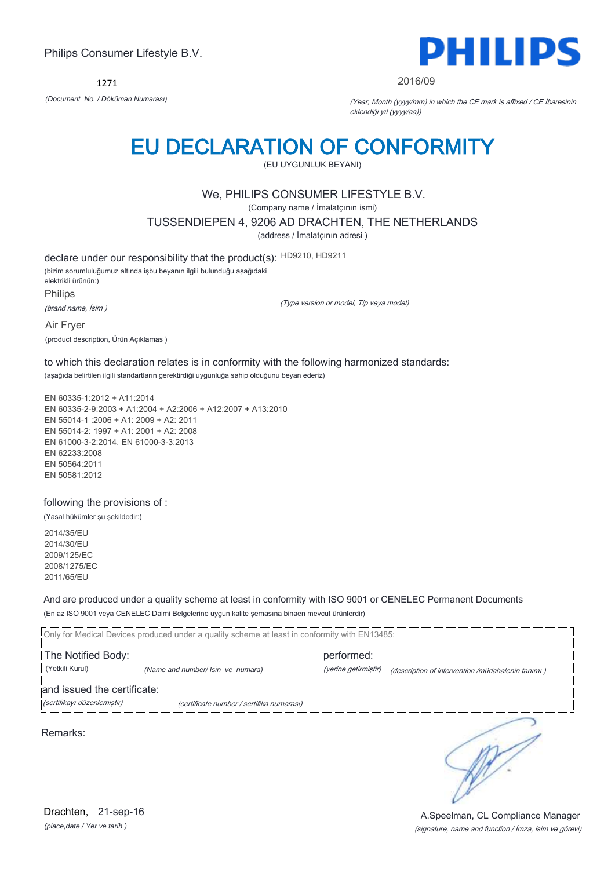1271



#### 2016/09

*(Document No. / Döküman Numarası)* (Year, Month (yyyy/mm) in which the CE mark is affixed / CE İbaresinin eklendiği yıl (yyyy/aa))

# EU DECLARATION OF CONFORMITY

(EU UYGUNLUK BEYANI)

### We, PHILIPS CONSUMER LIFESTYLE B.V.

(Company name / İmalatçının ismi)

TUSSENDIEPEN 4, 9206 AD DRACHTEN, THE NETHERLANDS

(address / İmalatçının adresi )

declare under our responsibility that the product(s): HD9210, HD9211 (bizim sorumluluğumuz altında işbu beyanın ilgili bulunduğu aşağıdaki elektrikli ürünün:) Philips

(brand name, İsim )

(Type version or model, Tip veya model)

Air Fryer (product description, Ürün Açıklamas )

to which this declaration relates is in conformity with the following harmonized standards: (aşağıda belirtilen ilgili standartların gerektirdiği uygunluğa sahip olduğunu beyan ederiz)

EN 60335-1:2012 + A11:2014 EN 60335-2-9:2003 + A1:2004 + A2:2006 + A12:2007 + A13:2010 EN 55014-1 :2006 + A1: 2009 + A2: 2011 EN 55014-2: 1997 + A1: 2001 + A2: 2008 EN 61000-3-2:2014, EN 61000-3-3:2013 EN 62233:2008 EN 50564:2011 EN 50581:2012

following the provisions of :

(Yasal hükümler şu şekildedir:)

2014/35/EU 2014/30/EU 2009/125/EC 2008/1275/EC 2011/65/EU

And are produced under a quality scheme at least in conformity with ISO 9001 or CENELEC Permanent Documents (En az ISO 9001 veya CENELEC Daimi Belgelerine uygun kalite şemasına binaen mevcut ürünlerdir)

Only for Medical Devices produced under a quality scheme at least in conformity with EN13485: **The Notified Body: performed:** performed: (Yetkili Kurul) *(Name and number/ Isin ve numara)* (yerine getirmiştir) (description of intervention /müdahalenin tanımı ) and issued the certificate: (sertifikayı düzenlemiştir) (certificate number / sertifika numarası) ╮ Remarks:

*(place,date / Yer ve tarih )* Drachten, 21-sep-16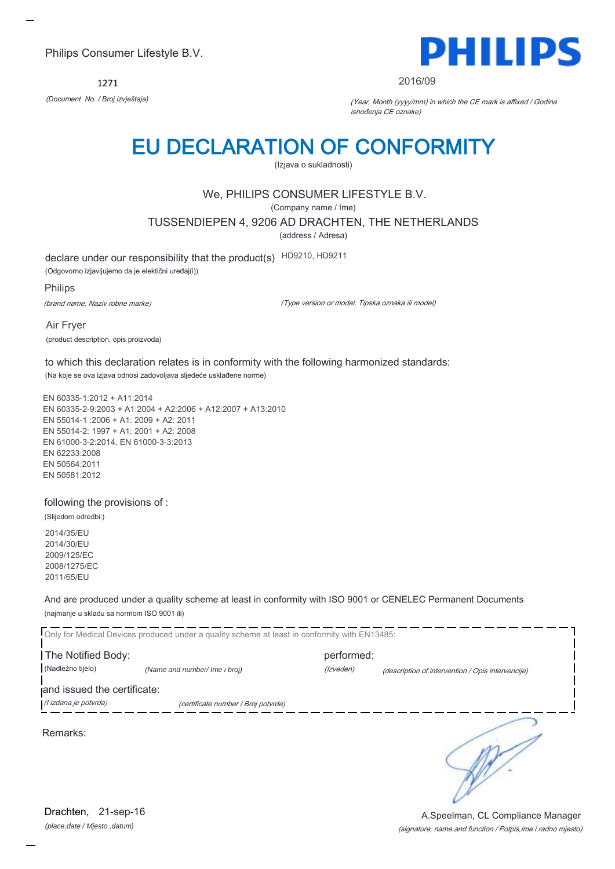1271



#### 2016/09

*(Document No. / Broj izvještaja)* (Year, Month (yyyy/mm) in which the CE mark is affixed / Godina ishođenja CE oznake)

# EU DECLARATION OF CONFORMITY

(Izjava o sukladnosti)

## We, PHILIPS CONSUMER LIFESTYLE B.V.

(Company name / Ime)

TUSSENDIEPEN 4, 9206 AD DRACHTEN, THE NETHERLANDS

(address / Adresa)

declare under our responsibility that the product(s) HD9210, HD9211

(Odgovorno izjavljujemo da je elektični uređaj(i))

Philips

(brand name, Naziv robne marke)

(Type version or model, Tipska oznaka ili model)

Air Fryer (product description, opis proizvoda)

to which this declaration relates is in conformity with the following harmonized standards: (Na koje se ova izjava odnosi zadovoljava sljedeće usklađene norme)

EN 60335-1:2012 + A11:2014 EN 60335-2-9:2003 + A1:2004 + A2:2006 + A12:2007 + A13:2010 EN 55014-1 :2006 + A1: 2009 + A2: 2011 EN 55014-2: 1997 + A1: 2001 + A2: 2008 EN 61000-3-2:2014, EN 61000-3-3:2013 EN 62233:2008 EN 50564:2011 EN 50581:2012

following the provisions of :

(Slijedom odredbi:)

2014/35/EU 2014/30/EU 2009/125/EC 2008/1275/EC 2011/65/EU

And are produced under a quality scheme at least in conformity with ISO 9001 or CENELEC Permanent Documents (najmanje u skladu sa normom ISO 9001 ili)

Only for Medical Devices produced under a quality scheme at least in conformity with EN13485: **The Notified Body: performed:** performed: (Nadležno tijelo) *(Name and number/ Ime i broj) (Izveden) (Izveden) (description of intervention / Opis intervencije*) and issued the certificate: (I izdana je potvrda) (certificate number / Broj potvrde) ╮

Remarks:

*(place,date / Mjesto ,datum)* Drachten, 21-sep-16

### (signature, name and function / Potpis,ime i radno mjesto) A.Speelman, CL Compliance Manager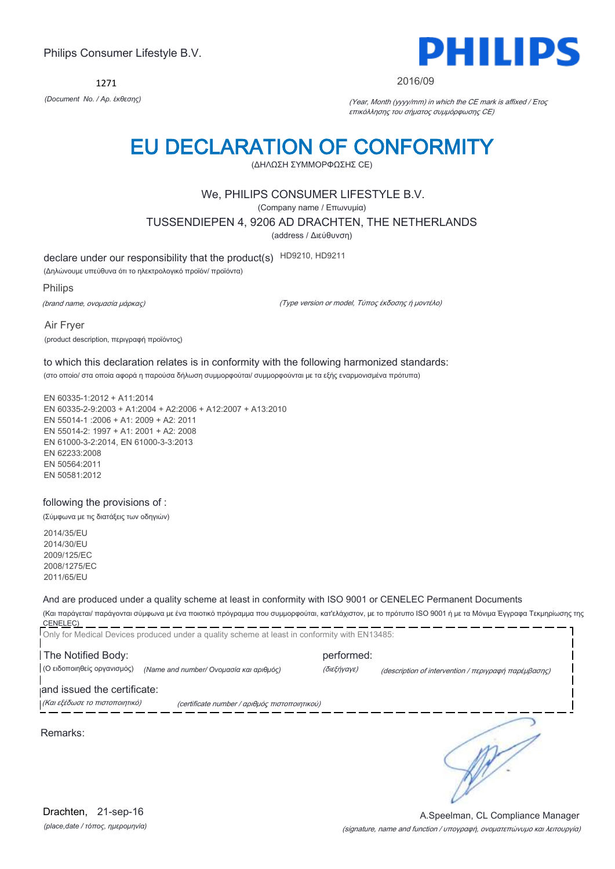1271



#### 2016/09

*(Document No. / Αρ. έκθεσης)* (Year, Month (yyyy/mm) in which the CE mark is affixed / Έτος επικόλλησης του σήματος συμμόρφωσης CE)

# EU DECLARATION OF CONFORMITY

(ΔΗΛΩΣΗ ΣΥΜΜΟΡΦΩΣΗΣ CE)

### We, PHILIPS CONSUMER LIFESTYLE B.V.

(Company name / Επωνυμία)

TUSSENDIEPEN 4, 9206 AD DRACHTEN, THE NETHERLANDS

(address / Διεύθυνση)

declare under our responsibility that the product(s) HD9210, HD9211

(Δηλώνουμε υπεύθυνα ότι το ηλεκτρολογικό προϊόν/ προϊόντα)

Philips

(brand name, ονομασία μάρκας)

(Type version or model, Τύπος έκδοσης ή μοντέλο)

Air Fryer (product description, περιγραφή προϊόντος)

to which this declaration relates is in conformity with the following harmonized standards: (στο οποίο/ στα οποία αφορά η παρούσα δήλωση συμμορφούται/ συμμορφούνται με τα εξής εναρμονισμένα πρότυπα)

EN 60335-1:2012 + A11:2014 EN 60335-2-9:2003 + A1:2004 + A2:2006 + A12:2007 + A13:2010 EN 55014-1 :2006 + A1: 2009 + A2: 2011 EN 55014-2: 1997 + A1: 2001 + A2: 2008 EN 61000-3-2:2014, EN 61000-3-3:2013 EN 62233:2008 EN 50564:2011 EN 50581:2012

#### following the provisions of :

(Σύμφωνα με τις διατάξεις των οδηγιών)

2014/35/EU 2014/30/EU 2009/125/EC 2008/1275/EC 2011/65/EU

### And are produced under a quality scheme at least in conformity with ISO 9001 or CENELEC Permanent Documents

(Και παράγεται/ παράγονται σύμφωνα με ένα ποιοτικό πρόγραμμα που συμμορφούται, κατ'ελάχιστον, με το πρότυπο ISO 9001 ή με τα Μόνιμα Έγγραφα Τεκμηρίωσης της CENELEC) 

|                                | Only for Medical Devices produced under a quality scheme at least in conformity with EN13485: |             |                                                                                                                                                    |
|--------------------------------|-----------------------------------------------------------------------------------------------|-------------|----------------------------------------------------------------------------------------------------------------------------------------------------|
| The Notified Body:             |                                                                                               | performed:  |                                                                                                                                                    |
| (Ο ειδοποιηθείς οργανισμός)    | (Name and number/ Ονομασία και αριθμός)                                                       | (διεξήγαγε) | (description of intervention / $\pi \epsilon \rho \gamma \rho \alpha \varphi \eta$ $\pi \alpha \rho \epsilon \mu \beta \alpha \sigma \eta \zeta$ ) |
| and issued the certificate:    |                                                                                               |             |                                                                                                                                                    |
| (Και εξέδωσε το πιστοποιητικό) | (certificate number / αριθμός πιστοποιητικού)                                                 |             |                                                                                                                                                    |
| Remarks:                       |                                                                                               |             |                                                                                                                                                    |